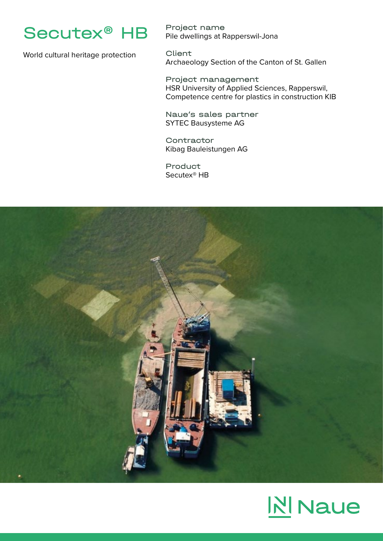

World cultural heritage protection

Project name Pile dwellings at Rapperswil-Jona

Client Archaeology Section of the Canton of St. Gallen

Project management HSR University of Applied Sciences, Rapperswil, Competence centre for plastics in construction KIB

Naue's sales partner SYTEC Bausysteme AG

**Contractor** Kibag Bauleistungen AG

Product Secutex® HB



## **NINaue**